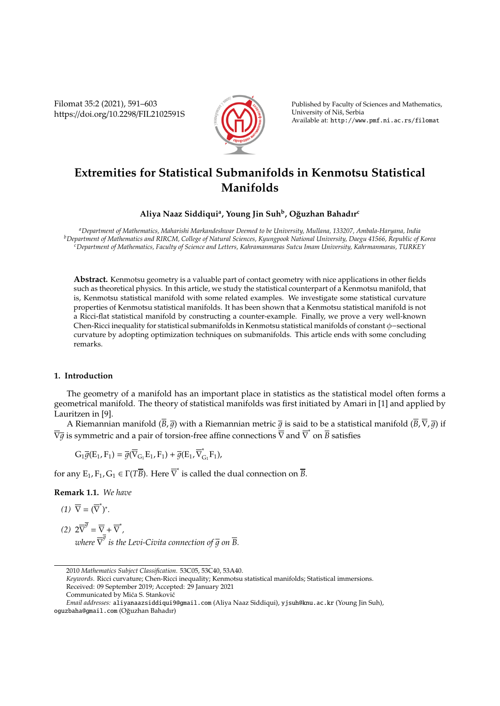Filomat 35:2 (2021), 591–603 https://doi.org/10.2298/FIL2102591S



Published by Faculty of Sciences and Mathematics, University of Niš, Serbia Available at: http://www.pmf.ni.ac.rs/filomat

# **Extremities for Statistical Submanifolds in Kenmotsu Statistical Manifolds**

## **Aliya Naaz Siddiqui<sup>a</sup> , Young Jin Suh<sup>b</sup> , O ˘guzhan Bahadır<sup>c</sup>**

*<sup>a</sup>Department of Mathematics, Maharishi Markandeshwar Deemed to be University, Mullana, 133207, Ambala-Haryana, India <sup>b</sup>Department of Mathematics and RIRCM, College of Natural Sciences, Kyungpook National University, Daegu 41566, Republic of Korea <sup>c</sup>Department of Mathematics, Faculty of Science and Letters, Kahramanmaras Sutcu Imam University, Kahrmanmaras, TURKEY*

**Abstract.** Kenmotsu geometry is a valuable part of contact geometry with nice applications in other fields such as theoretical physics. In this article, we study the statistical counterpart of a Kenmotsu manifold, that is, Kenmotsu statistical manifold with some related examples. We investigate some statistical curvature properties of Kenmotsu statistical manifolds. It has been shown that a Kenmotsu statistical manifold is not a Ricci-flat statistical manifold by constructing a counter-example. Finally, we prove a very well-known Chen-Ricci inequality for statistical submanifolds in Kenmotsu statistical manifolds of constant φ−sectional curvature by adopting optimization techniques on submanifolds. This article ends with some concluding remarks.

## **1. Introduction**

The geometry of a manifold has an important place in statistics as the statistical model often forms a geometrical manifold. The theory of statistical manifolds was first initiated by Amari in [1] and applied by Lauritzen in [9].

A Riemannian manifold  $(\overline{B}, \overline{g})$  with a Riemannian metric  $\overline{g}$  is said to be a statistical manifold  $(\overline{B}, \overline{V}, \overline{g})$  if  $\nabla \overline{g}$  is symmetric and a pair of torsion-free affine connections  $\nabla$  and  $\nabla^*$  on  $\overline{B}$  satisfies

$$
G_1 \overline{g}(E_1, F_1) = \overline{g}(\overline{\nabla}_{G_1} E_1, F_1) + \overline{g}(E_1, \overline{\nabla}_{G_1}^* F_1),
$$

for any  $E_1, F_1, G_1 \in \Gamma(T\overline{B})$ . Here  $\overline{\nabla}^*$  is called the dual connection on  $\overline{B}$ .

**Remark 1.1.** *We have*

$$
(1) \ \overline{\nabla} = (\overline{\nabla}^*)^*.
$$

(2) 
$$
2\overline{\nabla}^{\overline{g}} = \overline{\nabla} + \overline{\nabla}^*
$$
,  
where  $\overline{\nabla}^{\overline{g}}$  is the Levi-Civita connection of  $\overline{g}$  on  $\overline{B}$ .

<sup>2010</sup> *Mathematics Subject Classification*. 53C05, 53C40, 53A40.

*Keywords*. Ricci curvature; Chen-Ricci inequality; Kenmotsu statistical manifolds; Statistical immersions. Received: 09 September 2019; Accepted: 29 January 2021 Communicated by Mića S. Stanković

*Email addresses:* aliyanaazsiddiqui9@gmail.com (Aliya Naaz Siddiqui), yjsuh@knu.ac.kr (Young Jin Suh), oguzbaha@gmail.com (Oguzhan Bahadır) ˘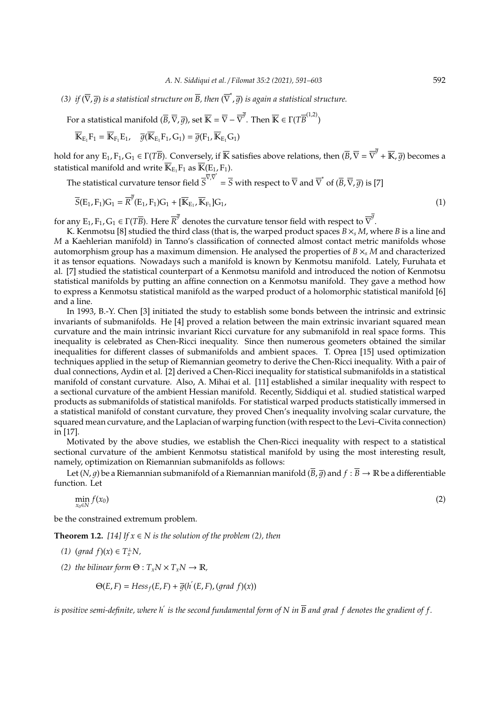(3) *if*  $(\overline{\nabla}, \overline{g})$  is a statistical structure on  $\overline{B}$ , then  $(\overline{\nabla}^*, \overline{g})$  is again a statistical structure.

For a statistical manifold  $(\overline{B},\overline{\nabla},\overline{g})$ , set  $\overline{\mathbb{K}}=\overline{\nabla}-\overline{\nabla}^{\overline{g}}.$  Then  $\overline{\mathbb{K}}\in\Gamma(T\overline{B}^{(1,2)})$ 

$$
\overline{\mathbb{K}}_{E_1}F_1=\overline{\mathbb{K}}_{F_1}E_1, \quad \overline{g}(\overline{\mathbb{K}}_{E_1}F_1,G_1)=\overline{g}(F_1,\overline{\mathbb{K}}_{E_1}G_1)
$$

hold for any  $E_1$ ,  $F_1$ ,  $G_1\in \Gamma(T\overline B).$  Conversely, if  $\overline{\mathbb{K}}$  satisfies above relations, then  $(\overline B,\overline\nabla=\overline\nabla^{\overline g}+\overline{\mathbb{K}},\overline g)$  becomes a statistical manifold and write  $\overline{\mathbb{K}}_{E_1}F_1$  as  $\overline{\mathbb{K}}(E_1, F_1)$ .

The statistical curvature tensor field  $S^{\overline{\nabla} \cdot \overline{\nabla}} = \overline{S}$  with respect to  $\overline{\nabla}$  and  $\overline{\nabla}^*$  of  $(\overline{B}, \overline{\nabla}, \overline{g})$  is [7]

$$
\overline{S}(E_1, F_1)G_1 = \overline{R}^{\overline{g}}(E_1, F_1)G_1 + [\overline{K}_{E_1}, \overline{K}_{F_1}]G_1,
$$
\n
$$
(1)
$$

for any  $E_1$ ,  $F_1$ ,  $G_1 \in \Gamma(T\overline{B})$ . Here  $\overline{R}^{\overline{g}}$  denotes the curvature tensor field with respect to  $\overline{\nabla}^{\overline{g}}$ .

K. Kenmotsu [8] studied the third class (that is, the warped product spaces  $B \times_{s} M$ , where *B* is a line and *M* a Kaehlerian manifold) in Tanno's classification of connected almost contact metric manifolds whose automorphism group has a maximum dimension. He analysed the properties of *B* ×*<sup>s</sup> M* and characterized it as tensor equations. Nowadays such a manifold is known by Kenmotsu manifold. Lately, Furuhata et al. [7] studied the statistical counterpart of a Kenmotsu manifold and introduced the notion of Kenmotsu statistical manifolds by putting an affine connection on a Kenmotsu manifold. They gave a method how to express a Kenmotsu statistical manifold as the warped product of a holomorphic statistical manifold [6] and a line.

In 1993, B.-Y. Chen [3] initiated the study to establish some bonds between the intrinsic and extrinsic invariants of submanifolds. He [4] proved a relation between the main extrinsic invariant squared mean curvature and the main intrinsic invariant Ricci curvature for any submanifold in real space forms. This inequality is celebrated as Chen-Ricci inequality. Since then numerous geometers obtained the similar inequalities for different classes of submanifolds and ambient spaces. T. Oprea [15] used optimization techniques applied in the setup of Riemannian geometry to derive the Chen-Ricci inequality. With a pair of dual connections, Aydin et al. [2] derived a Chen-Ricci inequality for statistical submanifolds in a statistical manifold of constant curvature. Also, A. Mihai et al. [11] established a similar inequality with respect to a sectional curvature of the ambient Hessian manifold. Recently, Siddiqui et al. studied statistical warped products as submanifolds of statistical manifolds. For statistical warped products statistically immersed in a statistical manifold of constant curvature, they proved Chen's inequality involving scalar curvature, the squared mean curvature, and the Laplacian of warping function (with respect to the Levi–Civita connection) in [17].

Motivated by the above studies, we establish the Chen-Ricci inequality with respect to a statistical sectional curvature of the ambient Kenmotsu statistical manifold by using the most interesting result, namely, optimization on Riemannian submanifolds as follows:

Let  $(N, q)$  be a Riemannian submanifold of a Riemannian manifold  $(\overline{B}, \overline{q})$  and  $f : \overline{B} \to \mathbb{R}$  be a differentiable function. Let

$$
\min_{x_0 \in N} f(x_0) \tag{2}
$$

be the constrained extremum problem.

**Theorem 1.2.** [14] If  $x \in N$  is the solution of the problem (2), then

- *(1)* (*grad f*)(*x*) ∈  $T_x^{\perp}N$ *,*
- *(2) the bilinear form*  $\Theta: T_xN \times T_xN \to \mathbb{R}$ *,*

$$
\Theta(E,F)=Hess_{f}(E,F)+\overline{g}(h^{'}(E,F),(grad\ f)(x))
$$

is positive semi-definite, where h<sup>'</sup> is the second fundamental form of N in  $\overline{B}$  and grad  $f$  denotes the gradient of  $f$ .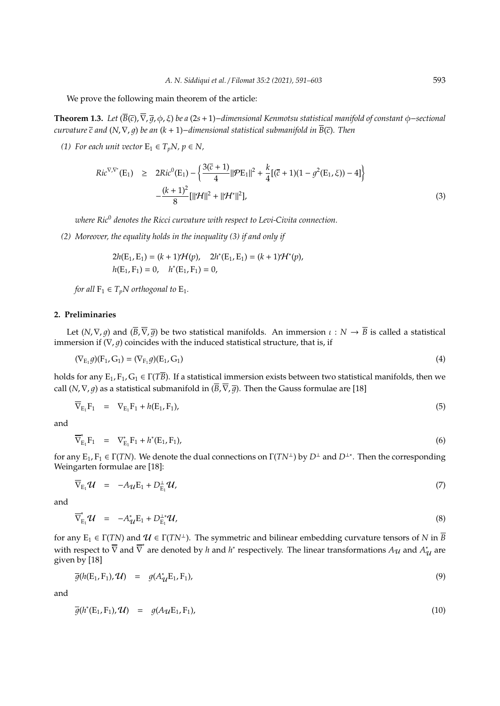We prove the following main theorem of the article:

**Theorem 1.3.** *Let* (*B*(*c*),∇, 1, φ, ξ) *be a* (2*s*+1)−*dimensional Kenmotsu statistical manifold of constant* φ−*sectional curvature c and* (*N*,∇, 1) *be an* (*k* + 1)−*dimensional statistical submanifold in B*(*c*)*. Then*

*(1)* For each unit vector  $E_1 \in T_pN$ ,  $p \in N$ ,

$$
Ric^{\nabla,\nabla^*}(E_1) \geq 2Ric^0(E_1) - \left\{ \frac{3(\overline{c}+1)}{4} ||\mathcal{P}E_1||^2 + \frac{k}{4} [(\overline{c}+1)(1-g^2(E_1,\xi)) - 4] \right\}
$$

$$
-\frac{(k+1)^2}{8} [||\mathcal{H}||^2 + ||\mathcal{H}^*||^2],
$$
(3)

*where Ric*<sup>0</sup> *denotes the Ricci curvature with respect to Levi-Civita connection.*

*(2) Moreover, the equality holds in the inequality (3) if and only if*

$$
2h(\mathbf{E}_1, \mathbf{E}_1) = (k+1)\mathcal{H}(p), \quad 2h^*(\mathbf{E}_1, \mathbf{E}_1) = (k+1)\mathcal{H}^*(p),
$$
  

$$
h(\mathbf{E}_1, \mathbf{F}_1) = 0, \quad h^*(\mathbf{E}_1, \mathbf{F}_1) = 0,
$$

*for all*  $F_1 \in T_pN$  *orthogonal to*  $E_1$ *.* 

#### **2. Preliminaries**

Let  $(N, \nabla, g)$  and  $(\overline{B}, \overline{\nabla}, \overline{g})$  be two statistical manifolds. An immersion  $\iota : N \to \overline{B}$  is called a statistical immersion if  $(\nabla, g)$  coincides with the induced statistical structure, that is, if

$$
(\nabla_{E_1} g)(F_1, G_1) = (\nabla_{F_1} g)(E_1, G_1)
$$
\n(4)

holds for any  $E_1$ ,  $F_1$ ,  $G_1 \in \Gamma(T\overline{B})$ . If a statistical immersion exists between two statistical manifolds, then we call (*N*,  $\nabla$ , *q*) as a statistical submanifold in ( $\overline{B}$ ,  $\overline{\nabla}$ ,  $\overline{q}$ ). Then the Gauss formulae are [18]

$$
\overline{\nabla}_{E_1} F_1 = \nabla_{E_1} F_1 + h(E_1, F_1), \tag{5}
$$

and

$$
\overline{\nabla}_{E_1}^* F_1 = \nabla_{E_1}^* F_1 + h^*(E_1, F_1), \tag{6}
$$

for any  $E_1$ ,  $F_1 \in \Gamma(TN)$ . We denote the dual connections on  $\Gamma(TN^{\perp})$  by  $D^{\perp}$  and  $D^{\perp*}$ . Then the corresponding Weingarten formulae are [18]:

$$
\overline{\nabla}_{E_1} \mathcal{U} = -A_{\mathcal{U}} E_1 + D_{E_1}^{\perp} \mathcal{U}, \tag{7}
$$

and

$$
\overline{\nabla}_{E_1}^* \mathcal{U} = -A_{\mathcal{U}}^* E_1 + D_{E_1}^{\perp *} \mathcal{U}, \tag{8}
$$

for any  $E_1 \in \Gamma(TN)$  and  $\mathcal{U} \in \Gamma(TN^{\perp})$ . The symmetric and bilinear embedding curvature tensors of *N* in  $\overline{B}$ with respect to  $\overline{\nabla}$  and  $\overline{\nabla}^*$  are denoted by *h* and *h*<sup>\*</sup> respectively. The linear transformations  $A_{\mathcal{U}}$  and  $A_{\mathcal{U}}^*$  are given by [18]

$$
\overline{g}(h(E_1, F_1), \mathcal{U}) = g(A_{\mathcal{U}}^* E_1, F_1), \qquad (9)
$$

and

$$
\overline{g}(h^*(E_1, F_1), \mathcal{U}) = g(A_{\mathcal{U}}E_1, F_1), \qquad (10)
$$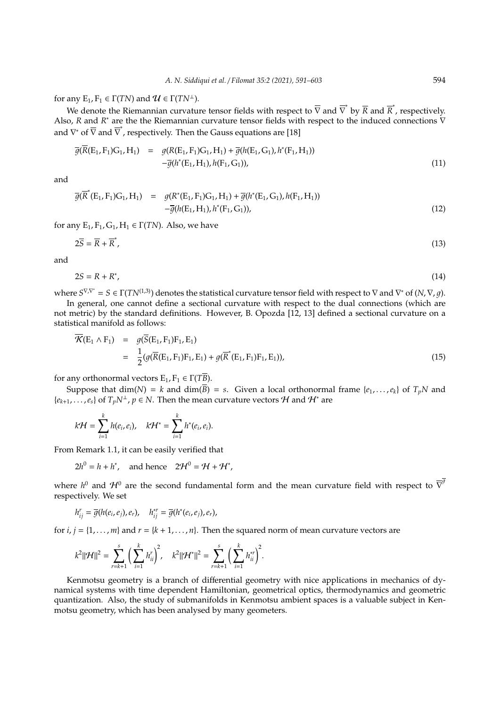for any  $E_1, F_1 \in \Gamma(TN)$  and  $\mathcal{U} \in \Gamma(TN^{\perp})$ .

We denote the Riemannian curvature tensor fields with respect to  $\bar{\nabla}$  and  $\bar{\nabla}$  by  $\bar{R}$  and  $\bar{R}$ <sup>\*</sup>, respectively. Also, *R* and *R*<sup>\*</sup> are the the Riemannian curvature tensor fields with respect to the induced connections  $\bar{V}$ and  $\nabla^*$  of  $\overline{\nabla}$  and  $\overline{\nabla}^*$ , respectively. Then the Gauss equations are [18]

$$
\overline{g}(\overline{R}(E_1, F_1)G_1, H_1) = g(R(E_1, F_1)G_1, H_1) + \overline{g}(h(E_1, G_1), h^*(F_1, H_1)) \n- \overline{g}(h^*(E_1, H_1), h(F_1, G_1)),
$$
\n(11)

and

$$
\overline{g}(\overline{R}^*(E_1, F_1)G_1, H_1) = g(R^*(E_1, F_1)G_1, H_1) + \overline{g}(h^*(E_1, G_1), h(F_1, H_1))
$$
  
 
$$
-\overline{g}(h(E_1, H_1), h^*(F_1, G_1)),
$$
 (12)

for any  $E_1$ ,  $F_1$ ,  $G_1$ ,  $H_1 \in \Gamma(TN)$ . Also, we have

$$
2\overline{S} = \overline{R} + \overline{R}^*,\tag{13}
$$

and

$$
2S = R + R^*,\tag{14}
$$

where  $S^{\nabla,\nabla^*}=S\in \Gamma(TN^{(1,3)})$  denotes the statistical curvature tensor field with respect to  $\nabla$  and  $\nabla^*$  of  $(N,\nabla,g)$ .

In general, one cannot define a sectional curvature with respect to the dual connections (which are not metric) by the standard definitions. However, B. Opozda [12, 13] defined a sectional curvature on a statistical manifold as follows:

$$
\overline{\mathcal{K}}(\mathbf{E}_1 \wedge \mathbf{F}_1) = g(\overline{S}(\mathbf{E}_1, \mathbf{F}_1) \mathbf{F}_1, \mathbf{E}_1) \n= \frac{1}{2} (g(\overline{R}(\mathbf{E}_1, \mathbf{F}_1) \mathbf{F}_1, \mathbf{E}_1) + g(\overline{R}^*(\mathbf{E}_1, \mathbf{F}_1) \mathbf{F}_1, \mathbf{E}_1)),
$$
\n(15)

for any orthonormal vectors  $E_1, F_1 \in \Gamma(T\overline{B})$ .

Suppose that  $dim(N) = k$  and  $dim(\overline{B}) = s$ . Given a local orthonormal frame  $\{e_1, \ldots, e_k\}$  of  $T_pN$  and  ${e_{k+1}, \ldots, e_s}$  of  $T_pN^{\perp}$ ,  $p \in N$ . Then the mean curvature vectors *H* and *H*<sup>\*</sup> are

$$
k\mathcal{H}=\sum_{i=1}^k h(e_i,e_i),\quad k\mathcal{H}^*=\sum_{i=1}^k h^*(e_i,e_i).
$$

From Remark 1.1, it can be easily verified that

$$
2h^0 = h + h^*, \quad \text{and hence} \quad 2\mathcal{H}^0 = \mathcal{H} + \mathcal{H}^*,
$$

where  $h^0$  and  $\mathcal{H}^0$  are the second fundamental form and the mean curvature field with respect to  $\overline{\nabla}^{\overline{g}}$ respectively. We set

$$
h_{ij}^r = \overline{g}(h(e_i,e_j),e_r), \quad h_{ij}^{*r} = \overline{g}(h^*(e_i,e_j),e_r),
$$

for  $i, j = \{1, \ldots, m\}$  and  $r = \{k + 1, \ldots, n\}$ . Then the squared norm of mean curvature vectors are

$$
k^2 ||\mathcal{H}||^2 = \sum_{r=k+1}^s \bigg( \sum_{i=1}^k h_{ii}^r \bigg)^2, \quad k^2 ||\mathcal{H}^*||^2 = \sum_{r=k+1}^s \bigg( \sum_{i=1}^k h_{ii}^{*r} \bigg)^2.
$$

Kenmotsu geometry is a branch of differential geometry with nice applications in mechanics of dynamical systems with time dependent Hamiltonian, geometrical optics, thermodynamics and geometric quantization. Also, the study of submanifolds in Kenmotsu ambient spaces is a valuable subject in Kenmotsu geometry, which has been analysed by many geometers.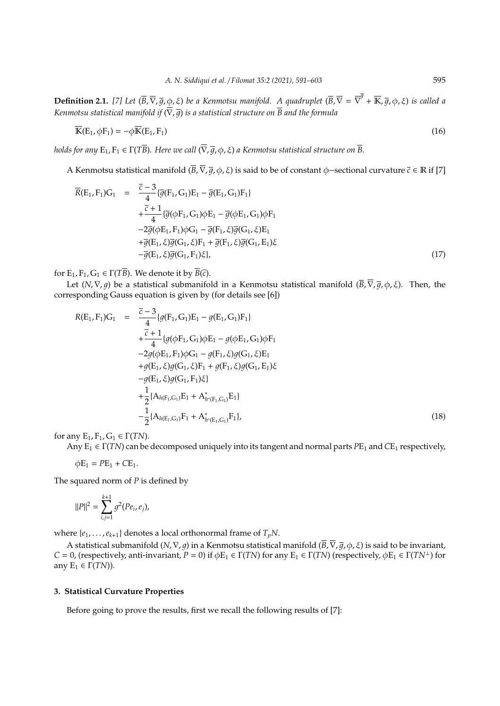**Definition 2.1.** [7] Let  $(\overline{B}, \overline{\nabla}, \overline{g}, \phi, \xi)$  be a Kenmotsu manifold. A quadruplet  $(\overline{B}, \overline{\nabla} = \overline{\nabla}^{\overline{g}} + \overline{\mathbb{K}}, \overline{g}, \phi, \xi)$  is called a *Kenmotsu statistical manifold if*  $(\nabla, \overline{q})$  *is a statistical structure on*  $\overline{B}$  *and the formula* 

$$
\overline{\mathbf{K}}(\mathbf{E}_1, \phi \mathbf{F}_1) = -\phi \overline{\mathbf{K}}(\mathbf{E}_1, \mathbf{F}_1)
$$
(16)

*holds for any*  $E_1, F_1 \in \Gamma(T\overline{B})$ *. Here we call*  $(\overline{\nabla}, \overline{g}, \phi, \xi)$  *a Kenmotsu statistical structure on*  $\overline{B}$ *.* 

A Kenmotsu statistical manifold  $(\overline{B}, \overline{\nabla}, \overline{q}, \phi, \xi)$  is said to be of constant  $\phi$ −sectional curvature  $\overline{c} \in \mathbb{R}$  if [7]

$$
\overline{R}(E_1, F_1)G_1 = \frac{\overline{c} - 3}{4} \{ \overline{g}(F_1, G_1)E_1 - \overline{g}(E_1, G_1)F_1 \} \n+ \frac{\overline{c} + 1}{4} \{ \overline{g}(\phi F_1, G_1) \phi E_1 - \overline{g}(\phi E_1, G_1) \phi F_1 \n- 2\overline{g}(\phi E_1, F_1) \phi G_1 - \overline{g}(F_1, \xi) \overline{g}(G_1, \xi) E_1 \n+ \overline{g}(E_1, \xi) \overline{g}(G_1, \xi)F_1 + \overline{g}(F_1, \xi) \overline{g}(G_1, E_1) \xi \n- \overline{g}(E_1, \xi) \overline{g}(G_1, F_1) \xi \},
$$
\n(17)

for  $E_1, F_1, G_1 \in \Gamma(T\overline{B})$ . We denote it by  $\overline{B}(\overline{c})$ .

Let  $(N, \nabla, q)$  be a statistical submanifold in a Kenmotsu statistical manifold  $(\overline{B}, \overline{\nabla}, \overline{q}, \phi, \xi)$ . Then, the corresponding Gauss equation is given by (for details see [6])

$$
R(E_1, F_1)G_1 = \frac{\overline{c} - 3}{4} \{g(F_1, G_1)E_1 - g(E_1, G_1)F_1\} \n+ \frac{\overline{c} + 1}{4} \{g(\phi F_1, G_1)\phi E_1 - g(\phi E_1, G_1)\phi F_1 \n- 2g(\phi E_1, F_1)\phi G_1 - g(F_1, \xi)g(G_1, \xi)E_1 \n+ g(E_1, \xi)g(G_1, \xi)F_1 + g(F_1, \xi)g(G_1, E_1)\xi \n- g(E_1, \xi)g(G_1, F_1)\xi \} \n+ \frac{1}{2} \{A_{h(F_1, G_1)}E_1 + A_{h^*(F_1, G_1)}^*E_1\} \n- \frac{1}{2} \{A_{h(E_1, G_1)}F_1 + A_{h^*(E_1, G_1)}^*F_1\},
$$
\n(18)

for any  $E_1, F_1, G_1 \in \Gamma(TN)$ .

Any  $E_1 \in \Gamma(TN)$  can be decomposed uniquely into its tangent and normal parts  $PE_1$  and  $CE_1$  respectively,

 $\phi E_1 = PE_1 + CE_1$ .

The squared norm of *P* is defined by

$$
||P||^2 = \sum_{i,j=1}^{k+1} g^2 (Pe_i, e_j),
$$

where  $\{e_1, \ldots, e_{k+1}\}$  denotes a local orthonormal frame of  $T_pN$ .

A statistical submanifold (*N*,  $\nabla$ , *q*) in a Kenmotsu statistical manifold ( $\overline{B}$ ,  $\overline{\nabla}$ ,  $\overline{q}$ ,  $\phi$ ,  $\xi$ ) is said to be invariant, *C* = 0, (respectively, anti-invariant, *P* = 0) if  $\phi$ E<sub>1</sub> ∈ Γ(*TN*) for any E<sub>1</sub> ∈ Γ(*TN*) (respectively,  $\phi$ E<sub>1</sub> ∈ Γ(*TN*<sup>⊥</sup>) for any  $E_1 \in \Gamma(TN)$ ).

# **3. Statistical Curvature Properties**

Before going to prove the results, first we recall the following results of [7]: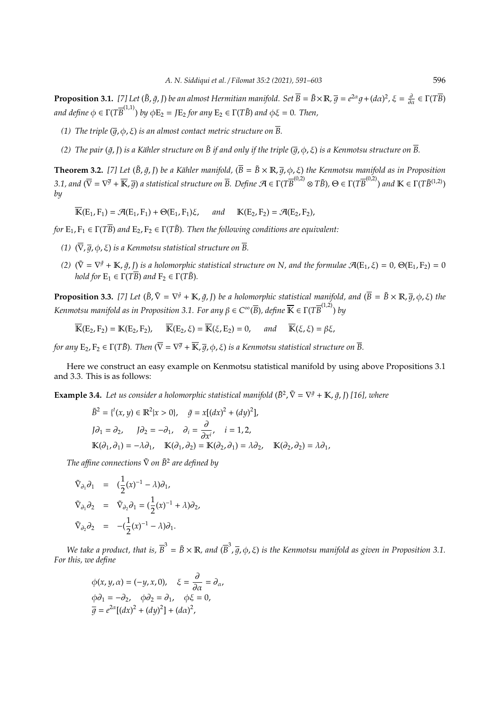**Proposition 3.1.** [7] Let  $(\tilde{B}, \tilde{g}, I)$  be an almost Hermitian manifold. Set  $\overline{B} = \tilde{B} \times \mathbb{R}$ ,  $\overline{g} = e^{2\alpha}g + (d\alpha)^2$ ,  $\xi = \frac{\partial}{\partial \alpha} \in \Gamma(T\overline{B})$  $a$ nd define  $\phi \in \Gamma(T\overline{B}^{(1,1)})$  by  $\phi \mathrm{E}_2 = J\mathrm{E}_2$  for any  $\mathrm{E}_2 \in \Gamma(T\tilde{B})$  and  $\phi \xi = 0$ . Then,

- *(1)* The triple  $(\overline{q}, \varphi, \xi)$  *is an almost contact metric structure on*  $\overline{B}$ *.*
- (2) The pair ( $\tilde{q}$ ,  $\tilde{p}$ ) *is a Kähler structure on*  $\tilde{B}$  *if and only if the triple* ( $\overline{q}$ ,  $\phi$ ,  $\xi$ ) *is a Kenmotsu structure on*  $\overline{B}$ .

**Theorem 3.2.** [7] Let ( $\tilde{B}$ ,  $\tilde{q}$ , I) *be a Kähler manifold*, ( $\overline{B} = \tilde{B} \times \mathbb{R}$ ,  $\overline{q}$ ,  $\phi$ ,  $\xi$ ) *the Kenmotsu manifold as in Proposition* 3.1, and  $(\overline{\nabla} = \nabla^{\overline{g}} + \overline{\mathbb{K}}, \overline{g})$  a statistical structure on  $\overline{B}$ . Define  $\mathcal{A} \in \Gamma(T\overline{B}^{(0,2)} \otimes T\widetilde{B})$ ,  $\Theta \in \Gamma(T\overline{B}^{(0,2)})$  and  $\mathbb{K} \in \Gamma(T\widetilde{B}^{(1,2)})$ *by*

 $\overline{\mathbb{K}}(\mathbb{E}_1, \mathbb{F}_1) = \mathcal{A}(\mathbb{E}_1, \mathbb{F}_1) + \Theta(\mathbb{E}_1, \mathbb{F}_1)\xi$ , and  $\mathbb{K}(\mathbb{E}_2, \mathbb{F}_2) = \mathcal{A}(\mathbb{E}_2, \mathbb{F}_2)$ ,

*for*  $E_1, F_1 \in \Gamma(T\overline{B})$  *and*  $E_2, F_2 \in \Gamma(T\tilde{B})$ *. Then the following conditions are equivalent:* 

- *(1)*  $(\overline{\nabla}, \overline{q}, \phi, \xi)$  *is a Kenmotsu statistical structure on*  $\overline{B}$ *.*
- (2)  $(\tilde{\nabla} = \nabla^{\tilde{g}} + \mathbb{K}, \tilde{g}, J)$  *is a holomorphic statistical structure on* N, and the formulae  $\mathcal{A}(E_1, \xi) = 0$ ,  $\Theta(E_1, F_2) = 0$ *hold for*  $E_1 \in \Gamma(T\overline{B})$  *and*  $F_2 \in \Gamma(T\overline{B})$ *.*

**Proposition 3.3.** [7] Let  $(\tilde{B}, \tilde{\nabla} = \nabla^{\tilde{g}} + \mathbb{K}, \tilde{g}, I)$  be a holomorphic statistical manifold, and  $(\overline{B} = \tilde{B} \times \mathbb{R}, \overline{g}, \phi, \xi)$  the *Kenmotsu manifold as in Proposition* 3.1. For any β ∈  $C^∞(\overline{B})$ , define  $\overline{\mathbb{K}}$  ∈ Γ(T $\overline{B}^{(1,2)}$ ) by

 $\overline{\mathbb{K}}(\mathbb{E}_2, \mathbb{F}_2) = \mathbb{K}(\mathbb{E}_2, \mathbb{F}_2), \quad \overline{\mathbb{K}}(\mathbb{E}_2, \xi) = \overline{\mathbb{K}}(\xi, \mathbb{E}_2) = 0, \quad \text{and} \quad \overline{\mathbb{K}}(\xi, \xi) = \beta \xi,$ 

for any  $E_2$ ,  $F_2\in \Gamma(T\tilde{B})$ . Then  $(\overline{\nabla}=\nabla^{\overline{g}}+\overline{\mathbb{K}},\overline{g},\phi,\xi)$  is a Kenmotsu statistical structure on  $\overline{B}.$ 

Here we construct an easy example on Kenmotsu statistical manifold by using above Propositions 3.1 and 3.3. This is as follows:

**Example 3.4.** Let us consider a holomorphic statistical manifold  $(\tilde{B}^2, \tilde{\nabla} = \nabla^{\tilde{g}} + \mathbb{K}, \tilde{g}, J)$  [16], where

$$
\tilde{B}^2 = \{ ^t(x, y) \in \mathbb{R}^2 | x > 0 \}, \quad \tilde{g} = x[(dx)^2 + (dy)^2],
$$
  
\n
$$
J\partial_1 = \partial_2, \qquad J\partial_2 = -\partial_1, \quad \partial_i = \frac{\partial}{\partial x^i}, \quad i = 1, 2,
$$
  
\n
$$
\mathbb{K}(\partial_1, \partial_1) = -\lambda \partial_1, \quad \mathbb{K}(\partial_1, \partial_2) = \mathbb{K}(\partial_2, \partial_1) = \lambda \partial_2, \quad \mathbb{K}(\partial_2, \partial_2) = \lambda \partial_1,
$$

*The a*ffi*ne connections* ∇˜ *on B*˜ <sup>2</sup> *are defined by*

$$
\tilde{\nabla}_{\partial_1} \partial_1 = (\frac{1}{2}(x)^{-1} - \lambda) \partial_1,
$$
  
\n
$$
\tilde{\nabla}_{\partial_1} \partial_2 = \tilde{\nabla}_{\partial_2} \partial_1 = (\frac{1}{2}(x)^{-1} + \lambda) \partial_2,
$$
  
\n
$$
\tilde{\nabla}_{\partial_2} \partial_2 = -(\frac{1}{2}(x)^{-1} - \lambda) \partial_1.
$$

We take a product, that is,  $\overline{B}^3=\tilde{B}\times\mathbb{R}$ , and  $(\overline{B}^3,\overline{g},\phi,\xi)$  is the Kenmotsu manifold as given in Proposition 3.1. *For this, we define*

$$
\phi(x, y, \alpha) = (-y, x, 0), \quad \xi = \frac{\partial}{\partial \alpha} = \partial_{\alpha},
$$
  

$$
\phi \partial_1 = -\partial_2, \quad \phi \partial_2 = \partial_1, \quad \phi \xi = 0,
$$
  

$$
\overline{g} = e^{2\alpha} [(dx)^2 + (dy)^2] + (d\alpha)^2,
$$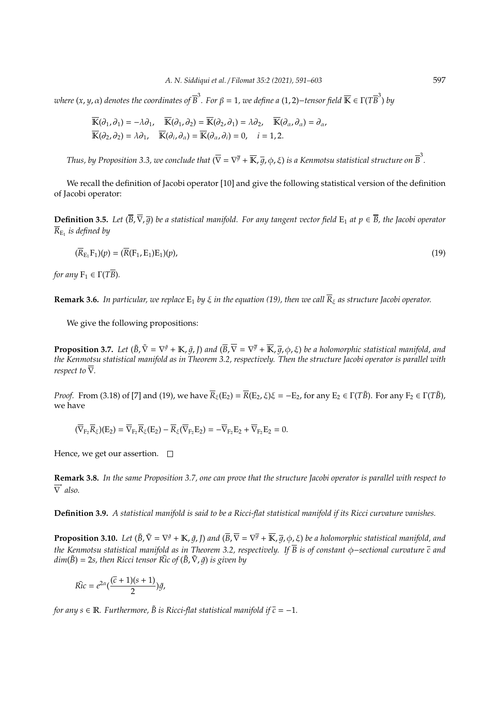$i$  *where (x, y, α) denotes the coordinates of*  $\overline{B}^3$ *. For β = 1, we define a (1,2)−tensor field*  $\overline{\mathbb{K}}$  *∈ Γ(T* $\overline{B}^3$ *) by* 

$$
\overline{\mathbb{K}}(\partial_1, \partial_1) = -\lambda \partial_1, \quad \overline{\mathbb{K}}(\partial_1, \partial_2) = \overline{\mathbb{K}}(\partial_2, \partial_1) = \lambda \partial_2, \quad \overline{\mathbb{K}}(\partial_\alpha, \partial_\alpha) = \partial_\alpha, \n\overline{\mathbb{K}}(\partial_2, \partial_2) = \lambda \partial_1, \quad \overline{\mathbb{K}}(\partial_i, \partial_\alpha) = \overline{\mathbb{K}}(\partial_\alpha, \partial_i) = 0, \quad i = 1, 2.
$$

Thus, by Proposition 3.3, we conclude that  $(\overline{\nabla}=\nabla^{\overline{g}}+\overline{\mathbb{K}},\overline{g},\phi,\xi)$  is a Kenmotsu statistical structure on  $\overline{B}^3.$ 

We recall the definition of Jacobi operator [10] and give the following statistical version of the definition of Jacobi operator:

**Definition 3.5.** *Let*  $(\overline{B}, \overline{\nabla}, \overline{q})$  *be a statistical manifold. For any tangent vector field*  $E_1$  *at*  $p \in \overline{B}$ *, the Jacobi operator*  $R_{\rm{E}_{1}}$  is defined by

$$
(\overline{R}_{E_1}F_1)(p) = (\overline{R}(F_1, E_1)E_1)(p),\tag{19}
$$

*for any*  $F_1 \in \Gamma(T\overline{B})$ *.* 

**Remark 3.6.** *In particular, we replace*  $E_1$  *by*  $\xi$  *in the equation (19), then we call*  $\overline{R}_{\xi}$  *as structure Jacobi operator.* 

We give the following propositions:

**Proposition 3.7.** Let  $(\tilde{B}, \tilde{\nabla} = \nabla^{\tilde{g}} + \mathbb{K}, \tilde{g}, I)$  and  $(\overline{B}, \overline{\nabla} = \nabla^{\overline{g}} + \overline{\mathbb{K}}, \overline{g}, \phi, \xi)$  be a holomorphic statistical manifold, and *the Kenmotsu statistical manifold as in Theorem 3.2, respectively. Then the structure Jacobi operator is parallel with respect to*  $\overline{\nabla}$ *.* 

*Proof.* From (3.18) of [7] and (19), we have  $\overline{R}_{\xi}(E_2) = \overline{R}(E_2, \xi)\xi = -E_2$ , for any  $E_2 \in \Gamma(T\tilde{B})$ . For any  $F_2 \in \Gamma(T\tilde{B})$ , we have

$$
(\overline{\nabla}_{F_2} \overline{R}_{\xi})(E_2)=\overline{\nabla}_{F_2} \overline{R}_{\xi}(E_2)-\overline{R}_{\xi}(\overline{\nabla}_{F_2}E_2)=-\overline{\nabla}_{F_2}E_2+\overline{\nabla}_{F_2}E_2=0.
$$

Hence, we get our assertion.  $\square$ 

**Remark 3.8.** *In the same Proposition 3.7, one can prove that the structure Jacobi operator is parallel with respect to* ∇ ∗ *also.*

**Definition 3.9.** *A statistical manifold is said to be a Ricci-flat statistical manifold if its Ricci curvature vanishes.*

**Proposition 3.10.** Let  $(\tilde{B},\tilde{\nabla}=\nabla^{\tilde{g}}+\mathbb{K},\tilde{g},\vec{l})$  and  $(\overline{B},\overline{\nabla}=\nabla^{\overline{g}}+\overline{\mathbb{K}},\overline{g},\varphi,\xi)$  be a holomorphic statistical manifold, and *the Kenmotsu statistical manifold as in Theorem 3.2, respectively. If B is of constant* φ−*sectional curvature c and*  $dim(\tilde{B}) = 2s$ , then Ricci tensor  $\tilde{Ric}$  of  $(\tilde{B}, \tilde{\nabla}, \tilde{q})$  *is given by* 

$$
\widetilde{Ric} = e^{2\alpha} \left( \frac{(\overline{c} + 1)(s + 1)}{2} \right) \widetilde{g},
$$

*for any s*  $\in \mathbb{R}$ *. Furthermore,*  $\tilde{B}$  *is Ricci-flat statistical manifold if*  $\overline{c} = -1$ *.*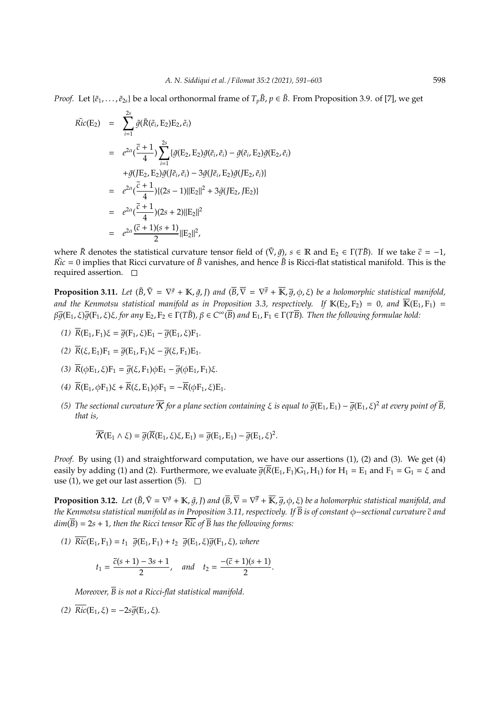*Proof.* Let  $\{\tilde{e}_1,\ldots,\tilde{e}_{2s}\}$  be a local orthonormal frame of  $T_p\tilde{B}$ ,  $p \in \tilde{B}$ . From Proposition 3.9. of [7], we get

$$
\begin{split}\n\tilde{Ric}(E_2) &= \sum_{i=1}^{2s} \tilde{g}(\tilde{R}(\tilde{e}_i, E_2) E_2, \tilde{e}_i) \\
&= e^{2\alpha} (\frac{\bar{c} + 1}{4}) \sum_{i=1}^{2s} \{ \tilde{g}(E_2, E_2) \tilde{g}(\tilde{e}_i, \tilde{e}_i) - \tilde{g}(\tilde{e}_i, E_2) \tilde{g} (E_2, \tilde{e}_i) \\
&\quad + \tilde{g}(JE_2, E_2) \tilde{g}(J\tilde{e}_i, \tilde{e}_i) - 3\tilde{g}(J\tilde{e}_i, E_2) \tilde{g}(JE_2, \tilde{e}_i) \} \\
&= e^{2\alpha} (\frac{\bar{c} + 1}{4}) \{ (2s - 1) ||E_2||^2 + 3\tilde{g}(JE_2, JE_2) \} \\
&= e^{2\alpha} (\frac{\bar{c} + 1}{4}) (2s + 2) ||E_2||^2 \\
&= e^{2\alpha} \frac{(\bar{c} + 1)(s + 1)}{2} ||E_2||^2,\n\end{split}
$$

where  $\tilde{R}$  denotes the statistical curvature tensor field of  $(\tilde{\nabla}, \tilde{g})$ ,  $s \in \mathbb{R}$  and  $E_2 \in \Gamma(T\tilde{B})$ . If we take  $\bar{c} = -1$ ,  $\tilde{Ric} = 0$  implies that Ricci curvature of  $\tilde{B}$  vanishes, and hence  $\tilde{B}$  is Ricci-flat statistical manifold. This is the required assertion.  $\square$ 

**Proposition 3.11.** Let  $(\tilde{B}, \tilde{\nabla} = \nabla^{\tilde{g}} + \mathbb{K}, \tilde{g}, I)$  and  $(\overline{B}, \overline{\nabla} = \nabla^{\overline{g}} + \overline{\mathbb{K}}, \overline{g}, \varphi, \xi)$  be a holomorphic statistical manifold, and the Kenmotsu statistical manifold as in Proposition 3.3, respectively. If  $\mathbb{K}(\mathrm{E}_2,\mathrm{F}_2) = 0$ , and  $\overline{\mathbb{K}}(\mathrm{E}_1,\mathrm{F}_1) =$  $\beta\overline{g}(\E_1,\xi)\overline{g}(\F_1,\xi)\xi$ , for any  $E_2$ ,  $F_2\in \Gamma(T\tilde{B})$ ,  $\beta\in C^\infty(\overline{B})$  and  $E_1$ ,  $F_1\in \Gamma(T\overline{B})$ . Then the following formulae hold:

- *(1)*  $\overline{R}(E_1, F_1)\xi = \overline{q}(F_1, \xi)E_1 \overline{q}(E_1, \xi)F_1.$
- *(2)*  $\overline{R}(\xi, E_1)F_1 = \overline{q}(E_1, F_1)\xi \overline{q}(\xi, F_1)E_1$ .
- (3)  $\overline{R}(\phi E_1, \xi)F_1 = \overline{q}(\xi, F_1)\phi E_1 \overline{q}(\phi E_1, F_1)\xi$ .
- (4)  $\overline{R}(E_1, \phi F_1)\xi + \overline{R}(\xi, E_1)\phi F_1 = -\overline{R}(\phi F_1, \xi)E_1$ .
- (5) The sectional curvature  $\overline K$  for a plane section containing  $\xi$  is equal to  $\overline g(E_1,E_1)-\overline g(E_1,\xi)^2$  at every point of  $\overline B$ , *that is,*

$$
\overline{\mathcal{K}}(\mathrm{E}_1 \wedge \xi) = \overline{g}(\overline{\mathrm{R}}(\mathrm{E}_1, \xi)\xi, \mathrm{E}_1) = \overline{g}(\mathrm{E}_1, \mathrm{E}_1) - \overline{g}(\mathrm{E}_1, \xi)^2.
$$

*Proof.* By using (1) and straightforward computation, we have our assertions (1), (2) and (3). We get (4) easily by adding (1) and (2). Furthermore, we evaluate  $\overline{g(R}(E_1, F_1)G_1, H_1)$  for  $H_1 = E_1$  and  $F_1 = G_1 = \xi$  and use (1), we get our last assertion (5).  $\Box$ 

**Proposition 3.12.** Let  $(\tilde{B},\tilde{\nabla}=\nabla^{\tilde{g}}+\mathbb{K},\tilde{g},\vec{l})$  and  $(\overline{B},\overline{\nabla}=\nabla^{\overline{g}}+\overline{\mathbb{K}},\overline{g},\varphi,\xi)$  be a holomorphic statistical manifold, and *the Kenmotsu statistical manifold as in Proposition 3.11, respectively. If B is of constant* φ−*sectional curvature c and*  $dim(\overline{B}) = 2s + 1$ , then the Ricci tensor  $\overline{Ric}$  of  $\overline{B}$  has the following forms:

(1)  $\overline{Ric}(E_1, F_1) = t_1 \overline{g}(E_1, F_1) + t_2 \overline{g}(E_1, \xi) \overline{g}(F_1, \xi)$ *, where* 

$$
t_1 = \frac{\overline{c}(s+1) - 3s + 1}{2}
$$
, and  $t_2 = \frac{-(\overline{c}+1)(s+1)}{2}$ .

*Moreover, B is not a Ricci-flat statistical manifold.*

*(2)*  $\overline{Ric}(E_1, \xi) = -2s\overline{q}(E_1, \xi)$ .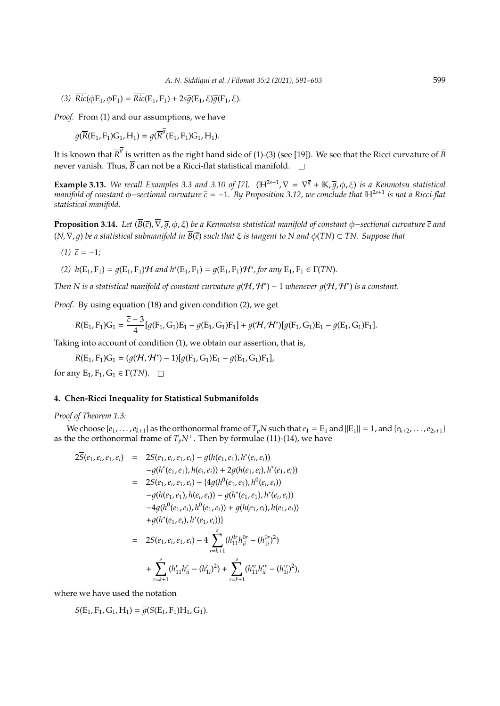(3)  $\overline{Ric}(\phi E_1, \phi F_1) = \overline{Ric}(E_1, F_1) + 2s\overline{q}(E_1, \xi)\overline{q}(F_1, \xi).$ 

*Proof.* From (1) and our assumptions, we have

$$
\overline{g}(\overline{R}(E_1, F_1)G_1, H_1) = \overline{g}(\overline{R}^{\overline{g}}(E_1, F_1)G_1, H_1).
$$

It is known that  $\overline{R}^{\overline{g}}$  is written as the right hand side of (1)-(3) (see [19]). We see that the Ricci curvature of  $\overline{B}$ never vanish. Thus,  $\overline{B}$  can not be a Ricci-flat statistical manifold.  $\square$ 

**Example 3.13.** We recall Examples 3.3 and 3.10 of [7].  $(H^{2s+1}, \overline{\nabla} = \nabla^{\overline{g}} + \overline{\mathbb{K}}, \overline{g}, \phi, \xi)$  is a Kenmotsu statistical *manifold of constant* φ−*sectional curvature c* = −1*. By Proposition 3.12, we conclude that* H2*s*+<sup>1</sup> *is not a Ricci-flat statistical manifold.*

**Proposition 3.14.** *Let* (*B*(*c*),∇, 1, φ, ξ) *be a Kenmotsu statistical manifold of constant* φ−*sectional curvature c and* (*N*,∇, 1) *be a statistical submanifold in B*(*c*) *such that* ξ *is tangent to N and* φ(*TN*) ⊂ *TN. Suppose that*

$$
(1) \ \bar{c} = -1;
$$

(2) 
$$
h(E_1, F_1) = g(E_1, F_1) \mathcal{H}
$$
 and  $h^*(E_1, F_1) = g(E_1, F_1) \mathcal{H}^*$ , for any  $E_1, F_1 \in \Gamma(TN)$ .

*Then* N is a statistical manifold of constant curvature  $g(H, H^*) - 1$  whenever  $g(H, H^*)$  is a constant.

*Proof.* By using equation (18) and given condition (2), we get

$$
R(E_1,F_1)G_1=\frac{\overline{c}-3}{4}[g(F_1,G_1)E_1-g(E_1,G_1)F_1]+g(\mathcal{H},\mathcal{H}^*)[g(F_1,G_1)E_1-g(E_1,G_1)F_1].
$$

Taking into account of condition (1), we obtain our assertion, that is,

$$
R(E_1, F_1)G_1 = (g(\mathcal{H}, \mathcal{H}^*) - 1)[g(F_1, G_1)E_1 - g(E_1, G_1)F_1],
$$

for any  $E_1, F_1, G_1 \in \Gamma(TN)$ .  $\Box$ 

### **4. Chen-Ricci Inequality for Statistical Submanifolds**

*Proof of Theorem 1.3:*

We choose  $\{e_1, \ldots, e_{k+1}\}$  as the orthonormal frame of  $T_pN$  such that  $e_1 = E_1$  and  $||E_1|| = 1$ , and  $\{e_{k+2}, \ldots, e_{2s+1}\}$ as the the orthonormal frame of  $T_pN^{\perp}$ . Then by formulae (11)-(14), we have

*r*=*k*+1

$$
2\overline{S}(e_1, e_i, e_1, e_i) = 2S(e_1, e_i, e_1, e_i) - g(h(e_1, e_1), h^*(e_i, e_i))
$$
  
\n
$$
-g(h^*(e_1, e_1), h(e_i, e_i)) + 2g(h(e_1, e_i), h^*(e_1, e_i))
$$
  
\n
$$
= 2S(e_1, e_i, e_1, e_i) - (4g(h^0(e_1, e_1), h^0(e_i, e_i))
$$
  
\n
$$
-g(h(e_1, e_1), h(e_i, e_i)) - g(h^*(e_1, e_1), h^*(e_i, e_i))
$$
  
\n
$$
-4g(h^0(e_1, e_i), h^0(e_1, e_i)) + g(h(e_1, e_i), h(e_1, e_i))
$$
  
\n
$$
+g(h^*(e_1, e_i), h^*(e_1, e_i))
$$
  
\n
$$
= 2S(e_1, e_i, e_1, e_i) - 4 \sum_{r=k+1}^s (h_{11}^{0r}h_{ii}^{0r} - (h_{1i}^{0r})^2)
$$
  
\n
$$
+ \sum_{r=k+1}^s (h_{11}^r h_{ii}^r - (h_{1i}^r)^2) + \sum_{r=k+1}^s (h_{11}^{sr}h_{ii}^{sr} - (h_{1i}^{sr})^2),
$$

where we have used the notation

 $\overline{S}(E_1, F_1, G_1, H_1) = \overline{q}(\overline{S}(E_1, F_1)H_1, G_1).$ 

*r*=*k*+1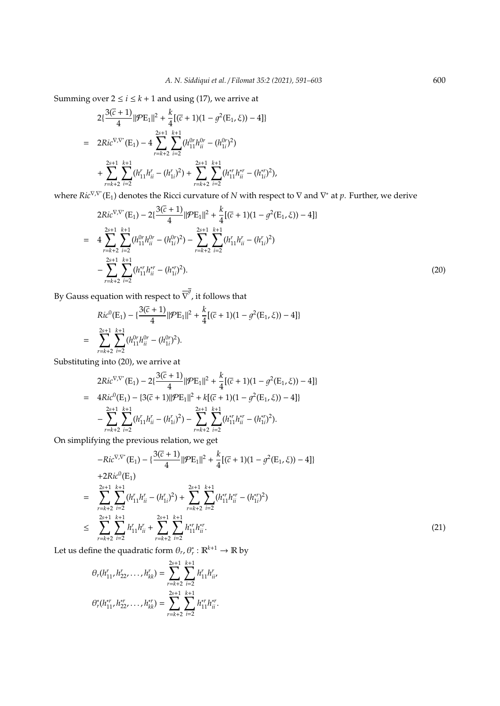Summing over  $2 \le i \le k + 1$  and using (17), we arrive at

$$
2\{\frac{3(\bar{c}+1)}{4}||\mathcal{P}E_1||^2 + \frac{k}{4}[(\bar{c}+1)(1-g^2(E_1,\xi))-4]\}
$$
  
= 
$$
2Ric^{\nabla\nabla^*}(E_1) - 4\sum_{r=k+2}^{2s+1}\sum_{i=2}^{k+1} (h_{11}^{0r}h_{ii}^{0r} - (h_{1i}^{0r})^2)
$$

$$
+ \sum_{r=k+2}^{2s+1}\sum_{i=2}^{k+1} (h_{11}^rh_{ii}^r - (h_{1i}^r)^2) + \sum_{r=k+2}^{2s+1}\sum_{i=2}^{k+1} (h_{11}^rh_{ii}^{*r} - (h_{1i}^{*r})^2),
$$

where *Ric*<sup>∇,∇</sup>\*(E<sub>1</sub>) denotes the Ricci curvature of *N* with respect to  $\nabla$  and  $\nabla^*$  at *p*. Further, we derive

$$
2Ric^{\nabla,\nabla^*}(E_1) - 2\left\{\frac{3(\bar{c}+1)}{4} ||\mathcal{P}E_1||^2 + \frac{k}{4} [(\bar{c}+1)(1 - g^2(E_1, \xi)) - 4]\right\}
$$
  
\n
$$
= 4 \sum_{r=k+2}^{2s+1} \sum_{i=2}^{k+1} (h_{11}^{0r} h_{ii}^{0r} - (h_{1i}^{0r})^2) - \sum_{r=k+2}^{2s+1} \sum_{i=2}^{k+1} (h_{11}^r h_{ii}^r - (h_{1i}^r)^2)
$$
  
\n
$$
- \sum_{r=k+2}^{2s+1} \sum_{i=2}^{k+1} (h_{11}^{*r} h_{ii}^{*r} - (h_{1i}^{*r})^2).
$$
\n(20)

By Gauss equation with respect to  $\overline{\nabla}^{\overline{g}}$ , it follows that

$$
Ric^{0}(E_{1}) - \{\frac{3(\overline{c}+1)}{4}||\mathcal{P}E_{1}||^{2} + \frac{k}{4}[(\overline{c}+1)(1-\overline{g}^{2}(E_{1},\xi)) - 4]\}
$$
  
= 
$$
\sum_{r=k+2}^{2s+1} \sum_{i=2}^{k+1} (h_{11}^{0r}h_{ii}^{0r} - (h_{1i}^{0r})^{2}).
$$

Substituting into (20), we arrive at

$$
2Ric^{\nabla,\nabla^*}(E_1) - 2\{\frac{3(\overline{c}+1)}{4}||\mathcal{P}E_1||^2 + \frac{k}{4}[(\overline{c}+1)(1-g^2(E_1,\xi)) - 4]\}
$$
  
=  $4Ric^0(E_1) - \{3(\overline{c}+1)||\mathcal{P}E_1||^2 + k[(\overline{c}+1)(1-g^2(E_1,\xi)) - 4]\}$   
 $-\sum_{r=k+2}^{2s+1} \sum_{i=2}^{k+1} (h_{11}^r h_{ii}^r - (h_{1i}^r)^2) - \sum_{r=k+2}^{2s+1} \sum_{i=2}^{k+1} (h_{11}^{*r} h_{ii}^{*r} - (h_{1i}^{*r})^2).$ 

On simplifying the previous relation, we get

$$
-Ric^{\nabla,\nabla^*}(E_1) - \{\frac{3(\bar{c}+1)}{4}||\mathcal{P}E_1||^2 + \frac{k}{4}[(\bar{c}+1)(1-\mathcal{g}^2(E_1,\xi)) - 4]\}\
$$
  
+2Ric<sup>0</sup>(E<sub>1</sub>)  
= 
$$
\sum_{r=k+2}^{2s+1} \sum_{i=2}^{k+1} (h'_{11}h'_{ii} - (h'_{1i})^2) + \sum_{r=k+2}^{2s+1} \sum_{i=2}^{k+1} (h''_{11}h''_{ii} - (h''_{1i})^2)
$$
  

$$
\leq \sum_{r=k+2}^{2s+1} \sum_{i=2}^{k+1} h'_{11}h'_{ii} + \sum_{r=k+2}^{2s+1} \sum_{i=2}^{k+1} h''_{11}h''_{ii}.
$$
 (21)

Let us define the quadratic form  $\theta_r$ ,  $\theta^*_r$  :  $\mathbb{R}^{k+1} \to \mathbb{R}$  by

$$
\theta_r(h_{11}^r, h_{22}^r, \dots, h_{kk}^r) = \sum_{r=k+2}^{2s+1} \sum_{i=2}^{k+1} h_{11}^r h_{ii}^r,
$$
  

$$
\theta_r^*(h_{11}^{*r}, h_{22}^{*r}, \dots, h_{kk}^{*r}) = \sum_{r=k+2}^{2s+1} \sum_{i=2}^{k+1} h_{11}^{*r} h_{ii}^{*r}.
$$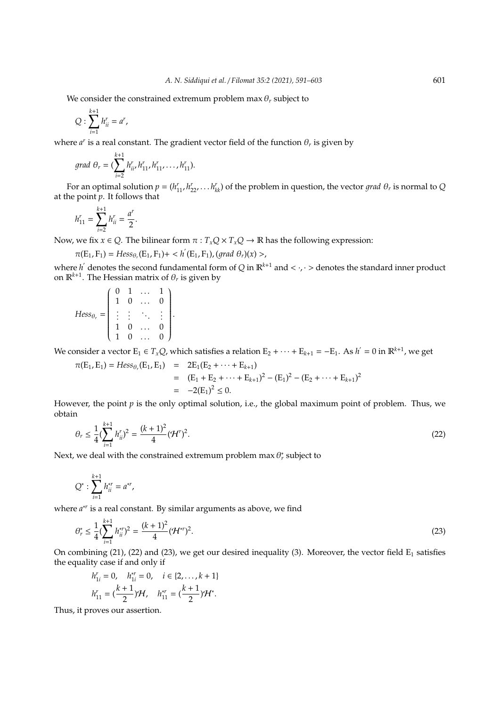We consider the constrained extremum problem  $\max \theta_r$  subject to

$$
Q:\sum_{i=1}^{k+1}h_{ii}^r=a^r,
$$

where  $a^r$  is a real constant. The gradient vector field of the function  $\theta_r$  is given by

grad 
$$
\theta_r = (\sum_{i=2}^{k+1} h_{ii}^r, h_{11}^r, h_{11}^r, \dots, h_{11}^r).
$$

For an optimal solution  $p = (h_{11}', h_{22}'', \ldots, h_{kk}'')$  of the problem in question, the vector *grad*  $\theta_r$  is normal to *Q* at the point *p*. It follows that

$$
h_{11}^r = \sum_{i=2}^{k+1} h_{ii}^r = \frac{a^r}{2}.
$$

Now, we fix  $x \in Q$ . The bilinear form  $\pi : T_xQ \times T_xQ \to \mathbb{R}$  has the following expression:

$$
\pi(E_1, F_1) = Hess_{\theta_r}(E_1, F_1) + \langle h'(E_1, F_1), (grad \theta_r)(x) \rangle,
$$

where  $h'$  denotes the second fundamental form of *Q* in  $\mathbb{R}^{k+1}$  and  $<\cdot$ , $\cdot>$  denotes the standard inner product on  $\mathbb{R}^{k+1}$ . The Hessian matrix of  $\theta_r$  is given by

$$
Hess_{\theta_r} = \begin{pmatrix} 0 & 1 & \dots & 1 \\ 1 & 0 & \dots & 0 \\ \vdots & \vdots & \ddots & \vdots \\ 1 & 0 & \dots & 0 \\ 1 & 0 & \dots & 0 \end{pmatrix}.
$$

We consider a vector  $E_1 \in T_xQ$ , which satisfies a relation  $E_2 + \cdots + E_{k+1} = -E_1$ . As  $h' = 0$  in  $\mathbb{R}^{k+1}$ , we get

$$
\pi(E_1, E_1) = Hess_{\theta_r}(E_1, E_1) = 2E_1(E_2 + \dots + E_{k+1})
$$
  
=  $(E_1 + E_2 + \dots + E_{k+1})^2 - (E_1)^2 - (E_2 + \dots + E_{k+1})^2$   
=  $-2(E_1)^2 \le 0$ .

However, the point *p* is the only optimal solution, i.e., the global maximum point of problem. Thus, we obtain

$$
\theta_r \le \frac{1}{4} (\sum_{i=1}^{k+1} h_{ii}^r)^2 = \frac{(k+1)^2}{4} (\mathcal{H}^r)^2.
$$
 (22)

Next, we deal with the constrained extremum problem max  $\theta^*_r$  subject to

$$
Q^*:\sum_{i=1}^{k+1}h_{ii}^{*r}=a^{*r},
$$

where *a* ∗*r* is a real constant. By similar arguments as above, we find

$$
\theta_r^* \le \frac{1}{4} (\sum_{i=1}^{k+1} h_{ii}^{*r})^2 = \frac{(k+1)^2}{4} (\mathcal{H}^{*r})^2.
$$
 (23)

On combining (21), (22) and (23), we get our desired inequality (3). Moreover, the vector field  $E_1$  satisfies the equality case if and only if

$$
h'_{1i} = 0, \quad h^{*r}_{1i} = 0, \quad i \in \{2, \dots, k+1\}
$$
  

$$
h'_{11} = \left(\frac{k+1}{2}\right) \mathcal{H}, \quad h^{*r}_{11} = \left(\frac{k+1}{2}\right) \mathcal{H}^*.
$$

Thus, it proves our assertion.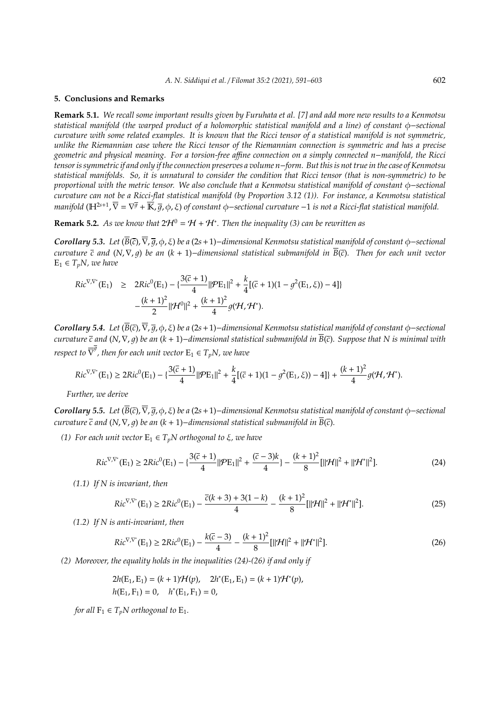#### **5. Conclusions and Remarks**

**Remark 5.1.** *We recall some important results given by Furuhata et al. [7] and add more new results to a Kenmotsu statistical manifold (the warped product of a holomorphic statistical manifold and a line) of constant* φ−*sectional curvature with some related examples. It is known that the Ricci tensor of a statistical manifold is not symmetric, unlike the Riemannian case where the Ricci tensor of the Riemannian connection is symmetric and has a precise geometric and physical meaning. For a torsion-free a*ffi*ne connection on a simply connected n*−*manifold, the Ricci tensor is symmetric if and only if the connection preserves a volume n*−*form. But this is not true in the case of Kenmotsu statistical manifolds. So, it is unnatural to consider the condition that Ricci tensor (that is non-symmetric) to be proportional with the metric tensor. We also conclude that a Kenmotsu statistical manifold of constant* φ−*sectional curvature can not be a Ricci-flat statistical manifold (by Proportion 3.12 (1)). For instance, a Kenmotsu statistical manifold* (H<sup>2s+1</sup>, ∇ = ∇<sup>す</sup> +  $\overline{\mathbb{K}}$ ,  $\overline{g}$ ,  $\phi$ , ξ) of constant  $\phi$ –sectional curvature −1 is not a Ricci-flat statistical manifold.

**Remark 5.2.** As we know that  $2\mathcal{H}^0 = \mathcal{H} + \mathcal{H}^*$ . Then the inequality (3) can be rewritten as

*Corollary 5.3. Let* (*B*(*c*),∇, 1, φ, ξ) *be a* (2*s*+1)−*dimensional Kenmotsu statistical manifold of constant* φ−*sectional curvature c and* (*N*,∇, 1) *be an* (*k* + 1)−*dimensional statistical submanifold in B*(*c*)*. Then for each unit vector*  $E_1 \in T_pN$ , we have

$$
Ric^{\nabla,\nabla^*}(E_1) \geq 2Ric^0(E_1) - \{\frac{3(\overline{c}+1)}{4} ||\mathcal{P}E_1||^2 + \frac{k}{4} [(\overline{c}+1)(1-\overline{g}^2(E_1,\xi)) - 4]\}
$$

$$
-\frac{(k+1)^2}{2} ||\mathcal{H}^0||^2 + \frac{(k+1)^2}{4} g(\mathcal{H},\mathcal{H}^*).
$$

*Corollary 5.4. Let* (*B*(*c*),∇, 1, φ, ξ) *be a* (2*s*+1)−*dimensional Kenmotsu statistical manifold of constant* φ−*sectional curvature c and* (*N*,∇, 1) *be an* (*k* + 1)−*dimensional statistical submanifold in B*(*c*)*. Suppose that N is minimal with respect to*  $\overline{\nabla}^{\overline{g}}$  *, then for each unit vector*  $\mathrm{E}_1 \in T_p N$  *, we have* 

$$
Ric^{\nabla,\nabla^*}(E_1) \geq 2Ric^0(E_1) - \left\{\frac{3(\overline{c}+1)}{4} ||\mathcal{P}E_1||^2 + \frac{k}{4} [(\overline{c}+1)(1-\overline{g}^2(E_1,\xi)) - 4]\right\} + \frac{(k+1)^2}{4}g(\mathcal{H},\mathcal{H}^*).
$$

*Further, we derive*

*Corollary 5.5. Let* (*B*(*c*),∇, 1, φ, ξ) *be a* (2*s*+1)−*dimensional Kenmotsu statistical manifold of constant* φ−*sectional curvature*  $\bar{c}$  and  $(N, \nabla, q)$  *be an*  $(k + 1)$ –*dimensional statistical submanifold in*  $\bar{B}(\bar{c})$ *.* 

*(1) For each unit vector*  $E_1 \in T_nN$  *orthogonal to*  $\xi$ *, we have* 

$$
Ric^{\nabla,\nabla^*}(E_1) \ge 2Ric^0(E_1) - \left\{\frac{3(\overline{c}+1)}{4} ||\mathcal{P}E_1||^2 + \frac{(\overline{c}-3)k}{4}\right\} - \frac{(k+1)^2}{8} [||\mathcal{H}||^2 + ||\mathcal{H}^*||^2].
$$
\n(24)

*(1.1) If N is invariant, then*

$$
Ric^{\nabla,\nabla^*}(E_1) \ge 2Ric^0(E_1) - \frac{\overline{c}(k+3) + 3(1-k)}{4} - \frac{(k+1)^2}{8}[\|\mathcal{H}\|^2 + \|\mathcal{H}^*\|^2].\tag{25}
$$

*(1.2) If N is anti-invariant, then*

$$
Ric^{\nabla,\nabla^*}(E_1) \ge 2Ric^0(E_1) - \frac{k(\bar{c}-3)}{4} - \frac{(k+1)^2}{8}[\|\mathcal{H}\|^2 + \|\mathcal{H}^*\|^2].\tag{26}
$$

*(2) Moreover, the equality holds in the inequalities (24)-(26) if and only if*

$$
2h(E_1, E_1) = (k+1)\mathcal{H}(p), \quad 2h^*(E_1, E_1) = (k+1)\mathcal{H}^*(p),
$$
  

$$
h(E_1, F_1) = 0, \quad h^*(E_1, F_1) = 0,
$$

*for all*  $F_1 \in T_pN$  *orthogonal to*  $E_1$ *.*